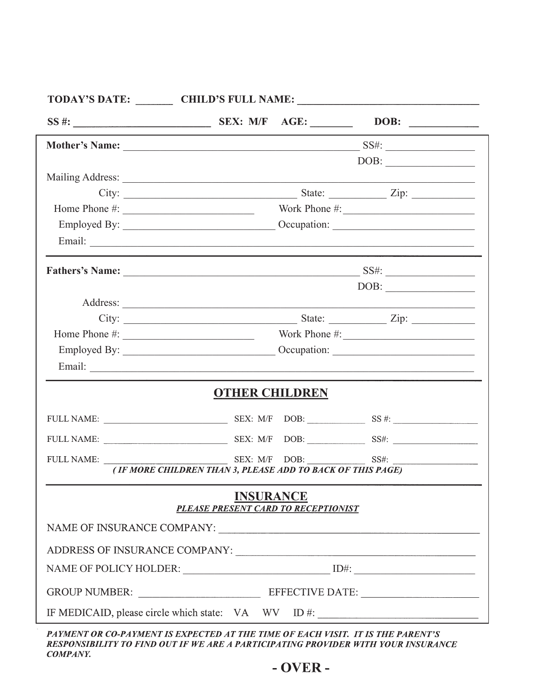|                                                            |  | TODAY'S DATE: CHILD'S FULL NAME: CHILD'S FULL NAME: |  |  |  |
|------------------------------------------------------------|--|-----------------------------------------------------|--|--|--|
|                                                            |  | DOB: $\qquad \qquad$                                |  |  |  |
|                                                            |  |                                                     |  |  |  |
|                                                            |  | $\boxed{\text{DOB:}\qquad \qquad }$                 |  |  |  |
|                                                            |  |                                                     |  |  |  |
|                                                            |  |                                                     |  |  |  |
|                                                            |  | Home Phone $\#$ : Work Phone $\#$ :                 |  |  |  |
|                                                            |  |                                                     |  |  |  |
|                                                            |  |                                                     |  |  |  |
|                                                            |  |                                                     |  |  |  |
|                                                            |  | $\boxed{\text{DOB:}\qquad \qquad }$                 |  |  |  |
|                                                            |  |                                                     |  |  |  |
|                                                            |  |                                                     |  |  |  |
|                                                            |  |                                                     |  |  |  |
|                                                            |  |                                                     |  |  |  |
|                                                            |  |                                                     |  |  |  |
| <b>OTHER CHILDREN</b>                                      |  |                                                     |  |  |  |
|                                                            |  |                                                     |  |  |  |
|                                                            |  |                                                     |  |  |  |
|                                                            |  |                                                     |  |  |  |
| (IF MORE CHILDREN THAN 3, PLEASE ADD TO BACK OF THIS PAGE) |  |                                                     |  |  |  |
| <b>INSURANCE</b><br>PLEASE PRESENT CARD TO RECEPTIONIST    |  |                                                     |  |  |  |
|                                                            |  |                                                     |  |  |  |
|                                                            |  |                                                     |  |  |  |
|                                                            |  |                                                     |  |  |  |
|                                                            |  |                                                     |  |  |  |
| IF MEDICAID, please circle which state: $VA$ WV ID #:      |  |                                                     |  |  |  |

PAYMENT OR CO-PAYMENT IS EXPECTED AT THE TIME OF EACH VISIT. IT IS THE PARENT'S RESPONSIBILITY TO FIND OUT IF WE ARE A PARTICIPATING PROVIDER WITH YOUR INSURANCE **COMPANY.**